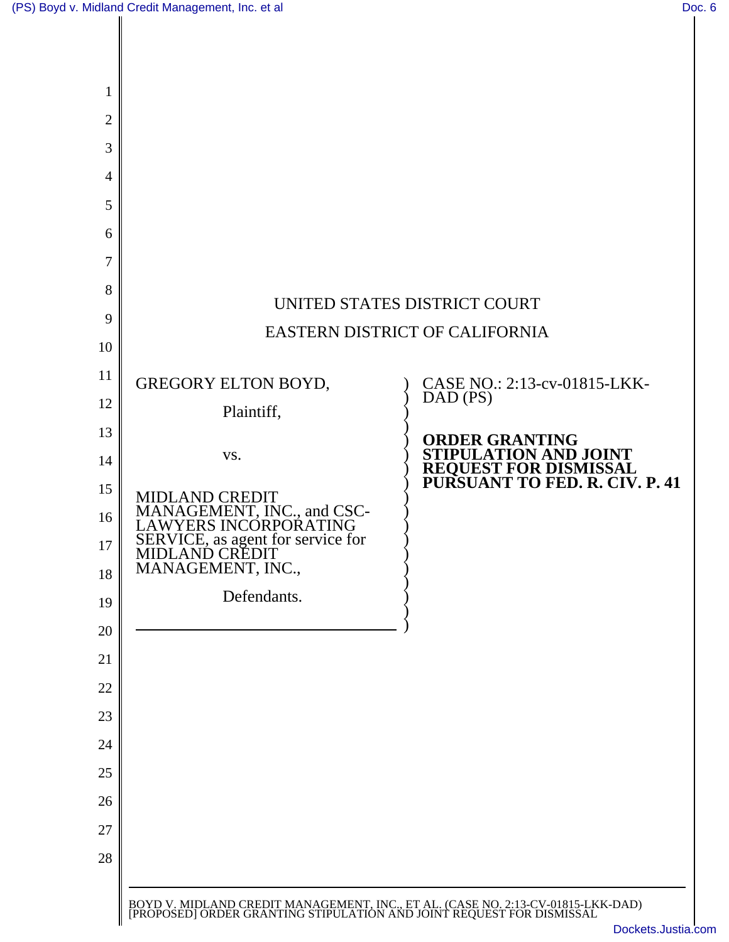|                                                     | UNITED STATES DISTRICT COURT                                                                                      |
|-----------------------------------------------------|-------------------------------------------------------------------------------------------------------------------|
| EASTERN DISTRICT OF CALIFORNIA                      |                                                                                                                   |
|                                                     |                                                                                                                   |
| GREGORY ELTON BOYD,                                 | CASE NO.: 2:13-cv-01815-LKK-<br>DAD (PS)                                                                          |
| Plaintiff,                                          |                                                                                                                   |
| VS.                                                 | <b>ORDER GRANTING</b><br>STIPULATION AND JOINT<br><b>REQUEST FOR DISMISSAL<br/>PURSUANT TO FED. R. CIV. P. 41</b> |
| <b>MIDLAND CREDIT</b>                               |                                                                                                                   |
| MANAGEMENT, INC., and CSC-<br>LAWYERS INCORPORATING |                                                                                                                   |
| SERVICE, as agent for service for<br>MIDLAND CREDIT |                                                                                                                   |
| MANAGEMENT, INC.,<br>Defendants.                    |                                                                                                                   |
|                                                     |                                                                                                                   |
|                                                     |                                                                                                                   |
|                                                     |                                                                                                                   |
|                                                     |                                                                                                                   |
|                                                     |                                                                                                                   |
|                                                     |                                                                                                                   |
|                                                     |                                                                                                                   |
|                                                     |                                                                                                                   |
|                                                     |                                                                                                                   |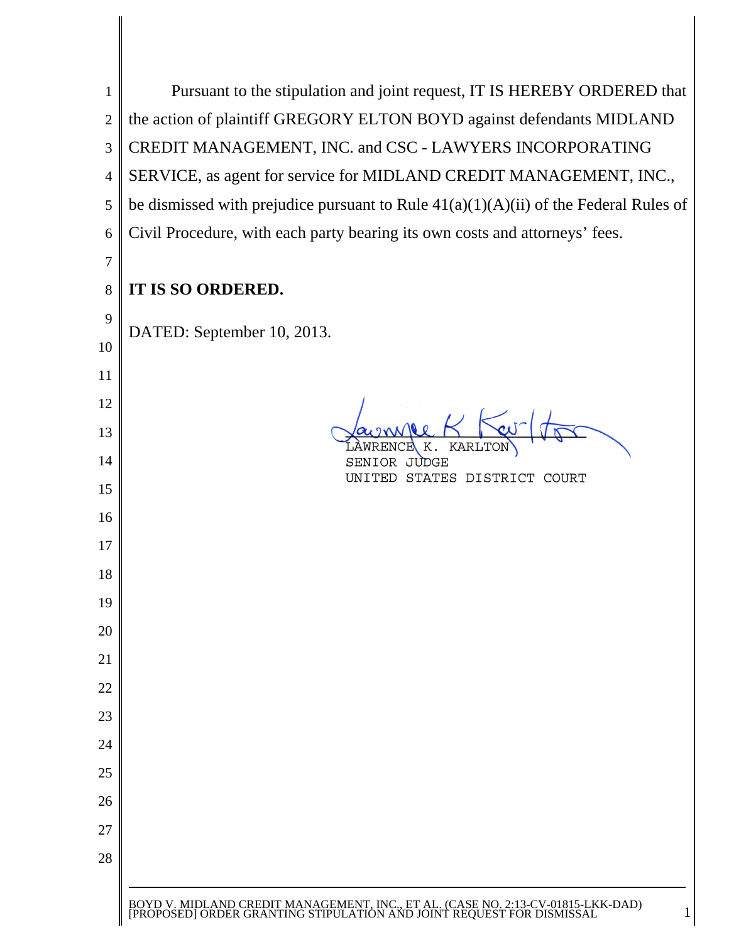| 1              | Pursuant to the stipulation and joint request, IT IS HEREBY ORDERED that                                                                                    |
|----------------|-------------------------------------------------------------------------------------------------------------------------------------------------------------|
| $\overline{2}$ | the action of plaintiff GREGORY ELTON BOYD against defendants MIDLAND                                                                                       |
| 3              | CREDIT MANAGEMENT, INC. and CSC - LAWYERS INCORPORATING                                                                                                     |
| $\overline{4}$ | SERVICE, as agent for service for MIDLAND CREDIT MANAGEMENT, INC.,                                                                                          |
| 5              | be dismissed with prejudice pursuant to Rule $41(a)(1)(A)(ii)$ of the Federal Rules of                                                                      |
| 6              | Civil Procedure, with each party bearing its own costs and attorneys' fees.                                                                                 |
| 7              |                                                                                                                                                             |
| 8              | IT IS SO ORDERED.                                                                                                                                           |
| 9              |                                                                                                                                                             |
| 10             | DATED: September 10, 2013.                                                                                                                                  |
| 11             |                                                                                                                                                             |
| 12             |                                                                                                                                                             |
| 13             |                                                                                                                                                             |
| 14             | <b>KARLTON</b><br>OR.<br>JUDGE                                                                                                                              |
| 15             | UNITED STATES DISTRICT COURT                                                                                                                                |
| 16             |                                                                                                                                                             |
| 17             |                                                                                                                                                             |
| 18             |                                                                                                                                                             |
| 19             |                                                                                                                                                             |
| 20             |                                                                                                                                                             |
| 21             |                                                                                                                                                             |
| 22             |                                                                                                                                                             |
| 23             |                                                                                                                                                             |
| 24             |                                                                                                                                                             |
| 25             |                                                                                                                                                             |
| 26             |                                                                                                                                                             |
| 27             |                                                                                                                                                             |
| 28             |                                                                                                                                                             |
|                |                                                                                                                                                             |
|                | BOYD V. MIDLAND CREDIT MANAGEMENT, INC., ET AL. (CASE NO. 2:13-CV-01815-LKK-DAD) [PROPOSED] ORDER GRANTING STIPULATION AND JOINT REQUEST FOR DISMISSAL<br>1 |